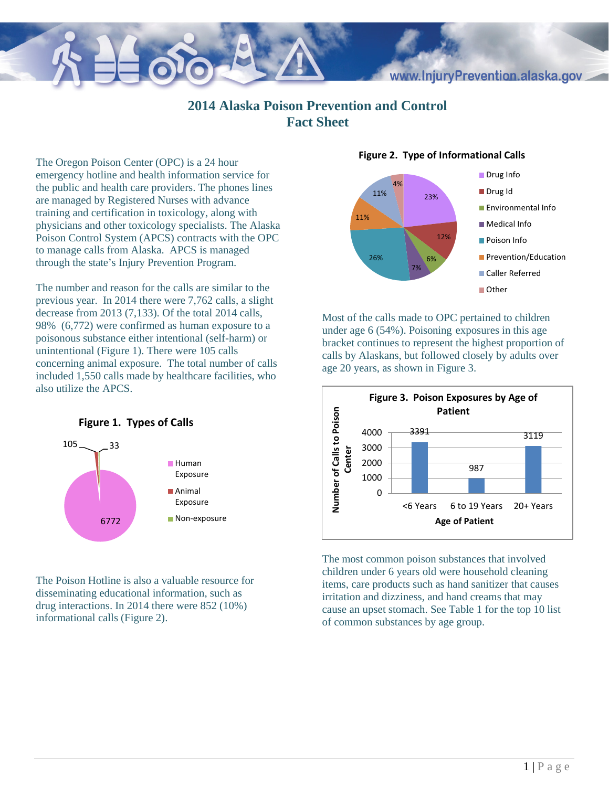## www.InjuryPrevention.alaska.gov

## **2014 Alaska Poison Prevention and Control Fact Sheet**

The Oregon Poison Center (OPC) is a 24 hour emergency hotline and health information service for the public and health care providers. The phones lines are managed by Registered Nurses with advance training and certification in toxicology, along with physicians and other toxicology specialists. The Alaska Poison Control System (APCS) contracts with the OPC to manage calls from Alaska. APCS is managed through the state's Injury Prevention Program.

The number and reason for the calls are similar to the previous year. In 2014 there were 7,762 calls, a slight decrease from 2013 (7,133). Of the total 2014 calls, 98% (6,772) were confirmed as human exposure to a poisonous substance either intentional (self-harm) or unintentional (Figure 1). There were 105 calls concerning animal exposure. The total number of calls included 1,550 calls made by healthcare facilities, who also utilize the APCS.



The Poison Hotline is also a valuable resource for disseminating educational information, such as drug interactions. In 2014 there were 852 (10%) informational calls (Figure 2).



Most of the calls made to OPC pertained to children under age 6 (54%). Poisoning exposures in this age bracket continues to represent the highest proportion of calls by Alaskans, but followed closely by adults over age 20 years, as shown in Figure 3.



The most common poison substances that involved children under 6 years old were household cleaning items, care products such as hand sanitizer that causes irritation and dizziness, and hand creams that may cause an upset stomach. See Table 1 for the top 10 list of common substances by age group.

## **Figure 2. Type of Informational Calls**